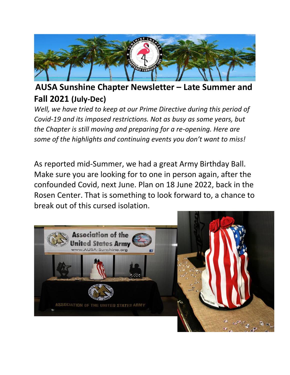

### **AUSA Sunshine Chapter Newsletter – Late Summer and Fall 2021 (July-Dec)**

*Well, we have tried to keep at our Prime Directive during this period of Covid-19 and its imposed restrictions. Not as busy as some years, but the Chapter is still moving and preparing for a re-opening. Here are some of the highlights and continuing events you don't want to miss!*

As reported mid-Summer, we had a great Army Birthday Ball. Make sure you are looking for to one in person again, after the confounded Covid, next June. Plan on 18 June 2022, back in the Rosen Center. That is something to look forward to, a chance to break out of this cursed isolation.

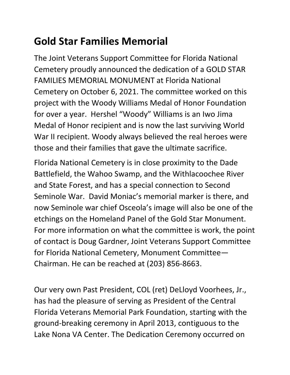# **Gold Star Families Memorial**

The Joint Veterans Support Committee for Florida National Cemetery proudly announced the dedication of a GOLD STAR FAMILIES MEMORIAL MONUMENT at Florida National Cemetery on October 6, 2021. The committee worked on this project with the Woody Williams Medal of Honor Foundation for over a year. Hershel "Woody" Williams is an Iwo Jima Medal of Honor recipient and is now the last surviving World War II recipient. Woody always believed the real heroes were those and their families that gave the ultimate sacrifice.

Florida National Cemetery is in close proximity to the Dade Battlefield, the Wahoo Swamp, and the Withlacoochee River and State Forest, and has a special connection to Second Seminole War. David Moniac's memorial marker is there, and now Seminole war chief Osceola's image will also be one of the etchings on the Homeland Panel of the Gold Star Monument. For more information on what the committee is work, the point of contact is Doug Gardner, Joint Veterans Support Committee for Florida National Cemetery, Monument Committee— Chairman. He can be reached at (203) 856-8663.

Our very own Past President, COL (ret) DeLloyd Voorhees, Jr., has had the pleasure of serving as President of the Central Florida Veterans Memorial Park Foundation, starting with the ground-breaking ceremony in April 2013, contiguous to the Lake Nona VA Center. The Dedication Ceremony occurred on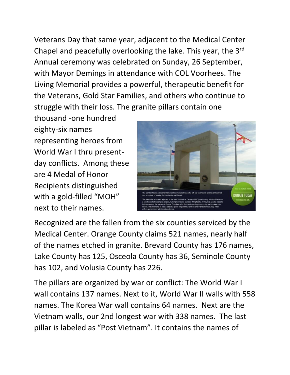Veterans Day that same year, adjacent to the Medical Center Chapel and peacefully overlooking the lake. This year, the 3rd Annual ceremony was celebrated on Sunday, 26 September, with Mayor Demings in attendance with COL Voorhees. The Living Memorial provides a powerful, therapeutic benefit for the Veterans, Gold Star Families, and others who continue to struggle with their loss. The granite pillars contain one

thousand -one hundred eighty-six names representing heroes from World War I thru presentday conflicts. Among these are 4 Medal of Honor Recipients distinguished with a gold-filled "MOH" next to their names.



Recognized are the fallen from the six counties serviced by the Medical Center. Orange County claims 521 names, nearly half of the names etched in granite. Brevard County has 176 names, Lake County has 125, Osceola County has 36, Seminole County has 102, and Volusia County has 226.

The pillars are organized by war or conflict: The World War I wall contains 137 names. Next to it, World War II walls with 558 names. The Korea War wall contains 64 names. Next are the Vietnam walls, our 2nd longest war with 338 names. The last pillar is labeled as "Post Vietnam". It contains the names of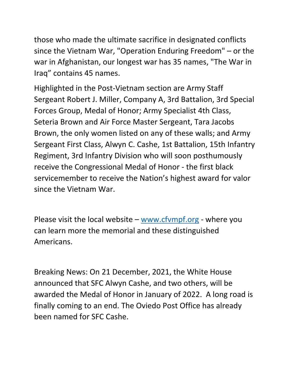those who made the ultimate sacrifice in designated conflicts since the Vietnam War, "Operation Enduring Freedom" – or the war in Afghanistan, our longest war has 35 names, "The War in Iraq" contains 45 names.

Highlighted in the Post-Vietnam section are Army Staff Sergeant Robert J. Miller, Company A, 3rd Battalion, 3rd Special Forces Group, Medal of Honor; Army Specialist 4th Class, Seteria Brown and Air Force Master Sergeant, Tara Jacobs Brown, the only women listed on any of these walls; and Army Sergeant First Class, Alwyn C. Cashe, 1st Battalion, 15th Infantry Regiment, 3rd Infantry Division who will soon posthumously receive the Congressional Medal of Honor - the first black servicemember to receive the Nation's highest award for valor since the Vietnam War.

Please visit the local website – [www.cfvmpf.org](http://www.cfvmpf.org/) - where you can learn more the memorial and these distinguished Americans.

Breaking News: On 21 December, 2021, the White House announced that SFC Alwyn Cashe, and two others, will be awarded the Medal of Honor in January of 2022. A long road is finally coming to an end. The Oviedo Post Office has already been named for SFC Cashe.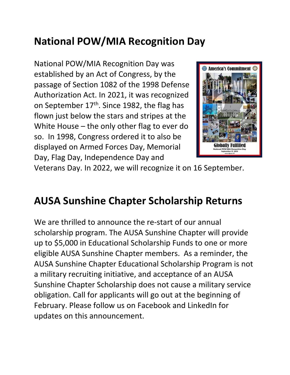## **National POW/MIA Recognition Day**

National POW/MIA Recognition Day was established by an Act of Congress, by the passage of Section 1082 of the 1998 Defense Authorization Act. In 2021, it was recognized on September 17<sup>th</sup>. Since 1982, the flag has flown just below the stars and stripes at the White House – the only other flag to ever do so. In 1998, Congress ordered it to also be displayed on Armed Forces Day, Memorial Day, Flag Day, Independence Day and



Veterans Day. In 2022, we will recognize it on 16 September.

### **AUSA Sunshine Chapter Scholarship Returns**

We are thrilled to announce the re-start of our annual scholarship program. The AUSA Sunshine Chapter will provide up to \$5,000 in Educational Scholarship Funds to one or more eligible AUSA Sunshine Chapter members. As a reminder, the AUSA Sunshine Chapter Educational Scholarship Program is not a military recruiting initiative, and acceptance of an AUSA Sunshine Chapter Scholarship does not cause a military service obligation. Call for applicants will go out at the beginning of February. Please follow us on Facebook and LinkedIn for updates on this announcement.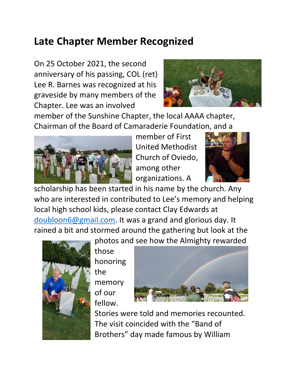### **Late Chapter Member Recognized**

On 25 October 2021, the second anniversary of his passing, COL (ret) Lee R. Barnes was recognized at his graveside by many members of the Chapter. Lee was an involved



member of the Sunshine Chapter, the local AAAA chapter, Chairman of the Board of Camaraderie Foundation, and a



member of First United Methodist Church of Oviedo, among other organizations. A



scholarship has been started in his name by the church. Any who are interested in contributed to Lee's memory and helping local high school kids, please contact Clay Edwards at [doubloon6@gmail.com.](mailto:doubloon6@gmail.com) It was a grand and glorious day. It rained a bit and stormed around the gathering but look at the



those honoring the memory

of our

fellow.



Stories were told and memories recounted. The visit coincided with the "Band of Brothers" day made famous by William

photos and see how the Almighty rewarded